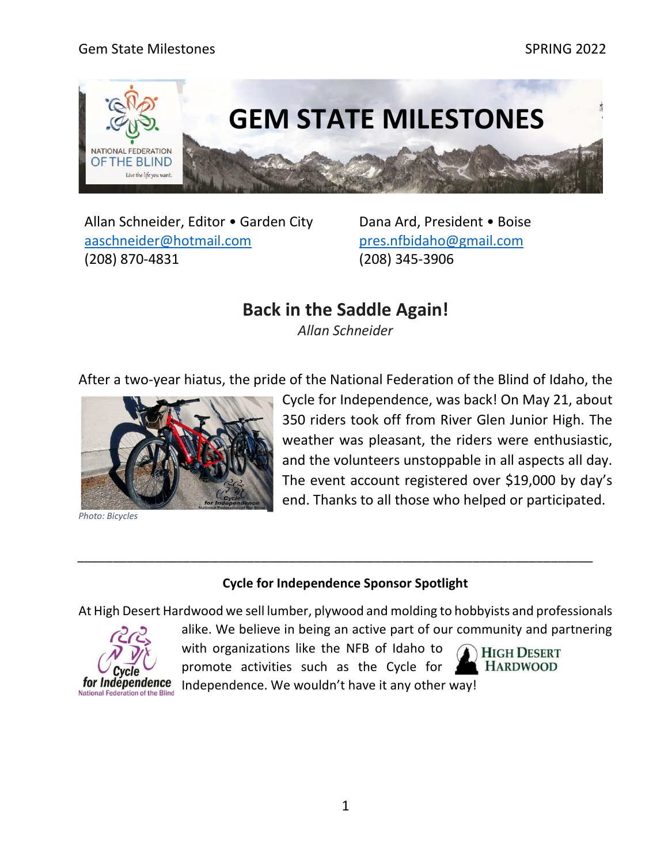#### Gem State Milestones National Section of the SPRING 2022 SPRING 2022



Allan Schneider, Editor • Garden City [aaschneider@hotmail.com](mailto:aaschneider@hotmail.com) (208) 870-4831

Dana Ard, President • Boise [pres.nfbidaho@gmail.com](mailto:pres.nfbidaho@gmail.com) (208) 345-3906

### **Back in the Saddle Again!**

*Allan Schneider*

After a two-year hiatus, the pride of the National Federation of the Blind of Idaho, the



*Photo: Bicycles*

Cycle for Independence, was back! On May 21, about 350 riders took off from River Glen Junior High. The weather was pleasant, the riders were enthusiastic, and the volunteers unstoppable in all aspects all day. The event account registered over \$19,000 by day's end. Thanks to all those who helped or participated.

#### **Cycle for Independence Sponsor Spotlight**

*\_\_\_\_\_\_\_\_\_\_\_\_\_\_\_\_\_\_\_\_\_\_\_\_\_\_\_\_\_\_\_\_\_\_\_\_\_\_\_\_\_\_\_\_\_\_\_\_\_\_\_\_\_\_\_\_\_\_\_\_\_\_\_\_\_\_\_\_\_\_\_\_\_*

At High Desert Hardwood we sell lumber, plywood and molding to hobbyists and professionals



alike. We believe in being an active part of our community and partnering with organizations like the NFB of Idaho to

promote activities such as the Cycle for



Independence. We wouldn't have it any other way!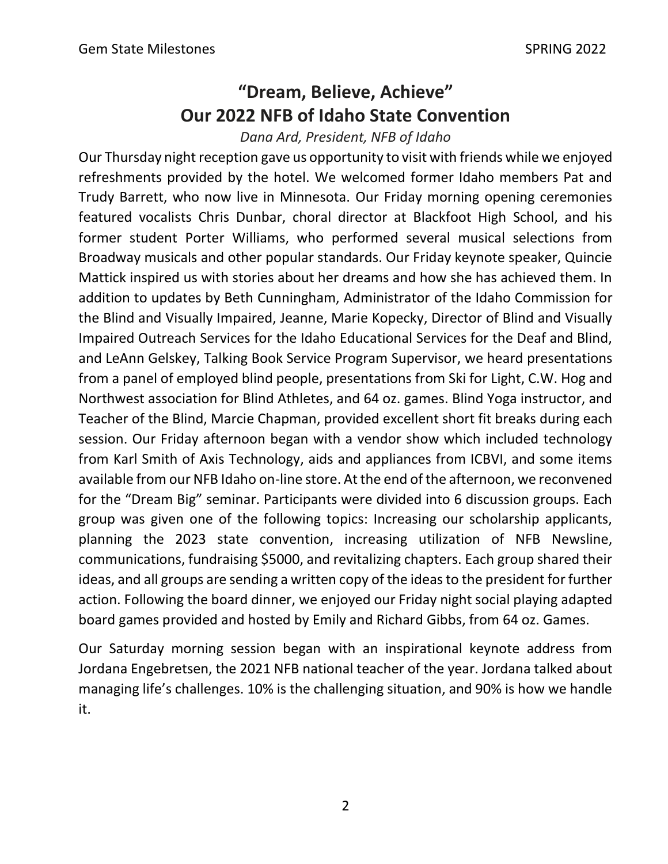# **"Dream, Believe, Achieve" Our 2022 NFB of Idaho State Convention**

*Dana Ard, President, NFB of Idaho*

Our Thursday night reception gave us opportunity to visit with friends while we enjoyed refreshments provided by the hotel. We welcomed former Idaho members Pat and Trudy Barrett, who now live in Minnesota. Our Friday morning opening ceremonies featured vocalists Chris Dunbar, choral director at Blackfoot High School, and his former student Porter Williams, who performed several musical selections from Broadway musicals and other popular standards. Our Friday keynote speaker, Quincie Mattick inspired us with stories about her dreams and how she has achieved them. In addition to updates by Beth Cunningham, Administrator of the Idaho Commission for the Blind and Visually Impaired, Jeanne, Marie Kopecky, Director of Blind and Visually Impaired Outreach Services for the Idaho Educational Services for the Deaf and Blind, and LeAnn Gelskey, Talking Book Service Program Supervisor, we heard presentations from a panel of employed blind people, presentations from Ski for Light, C.W. Hog and Northwest association for Blind Athletes, and 64 oz. games. Blind Yoga instructor, and Teacher of the Blind, Marcie Chapman, provided excellent short fit breaks during each session. Our Friday afternoon began with a vendor show which included technology from Karl Smith of Axis Technology, aids and appliances from ICBVI, and some items available from our NFB Idaho on-line store. At the end of the afternoon, we reconvened for the "Dream Big" seminar. Participants were divided into 6 discussion groups. Each group was given one of the following topics: Increasing our scholarship applicants, planning the 2023 state convention, increasing utilization of NFB Newsline, communications, fundraising \$5000, and revitalizing chapters. Each group shared their ideas, and all groups are sending a written copy of the ideas to the president for further action. Following the board dinner, we enjoyed our Friday night social playing adapted board games provided and hosted by Emily and Richard Gibbs, from 64 oz. Games.

Our Saturday morning session began with an inspirational keynote address from Jordana Engebretsen, the 2021 NFB national teacher of the year. Jordana talked about managing life's challenges. 10% is the challenging situation, and 90% is how we handle it.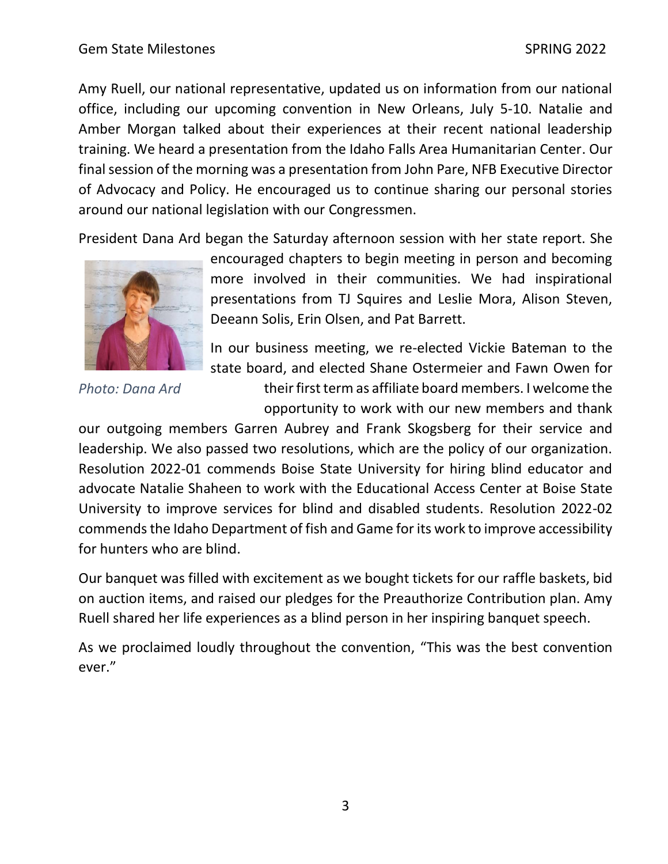Amy Ruell, our national representative, updated us on information from our national office, including our upcoming convention in New Orleans, July 5-10. Natalie and Amber Morgan talked about their experiences at their recent national leadership training. We heard a presentation from the Idaho Falls Area Humanitarian Center. Our final session of the morning was a presentation from John Pare, NFB Executive Director of Advocacy and Policy. He encouraged us to continue sharing our personal stories around our national legislation with our Congressmen.

President Dana Ard began the Saturday afternoon session with her state report. She



*Photo: Dana Ard*

encouraged chapters to begin meeting in person and becoming more involved in their communities. We had inspirational presentations from TJ Squires and Leslie Mora, Alison Steven, Deeann Solis, Erin Olsen, and Pat Barrett.

In our business meeting, we re-elected Vickie Bateman to the state board, and elected Shane Ostermeier and Fawn Owen for

> their first term as affiliate board members. I welcome the opportunity to work with our new members and thank

our outgoing members Garren Aubrey and Frank Skogsberg for their service and leadership. We also passed two resolutions, which are the policy of our organization. Resolution 2022-01 commends Boise State University for hiring blind educator and advocate Natalie Shaheen to work with the Educational Access Center at Boise State University to improve services for blind and disabled students. Resolution 2022-02 commends the Idaho Department of fish and Game for its work to improve accessibility for hunters who are blind.

Our banquet was filled with excitement as we bought tickets for our raffle baskets, bid on auction items, and raised our pledges for the Preauthorize Contribution plan. Amy Ruell shared her life experiences as a blind person in her inspiring banquet speech.

As we proclaimed loudly throughout the convention, "This was the best convention ever."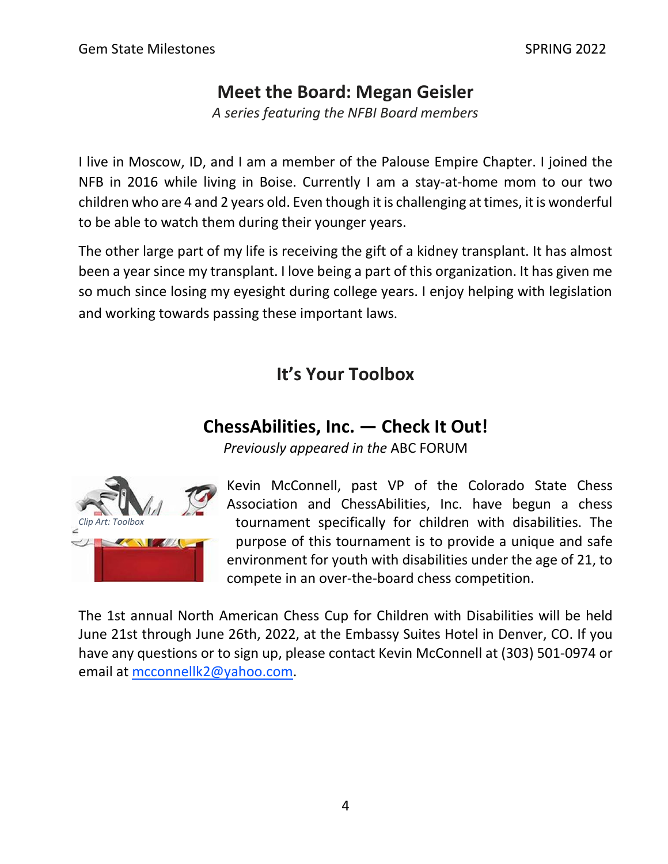## **Meet the Board: Megan Geisler**

*A series featuring the NFBI Board members* 

I live in Moscow, ID, and I am a member of the Palouse Empire Chapter. I joined the NFB in 2016 while living in Boise. Currently I am a stay-at-home mom to our two children who are 4 and 2 years old. Even though it is challenging at times, it is wonderful to be able to watch them during their younger years.

The other large part of my life is receiving the gift of a kidney transplant. It has almost been a year since my transplant. I love being a part of this organization. It has given me so much since losing my eyesight during college years. I enjoy helping with legislation and working towards passing these important laws.

# **It's Your Toolbox**

## **ChessAbilities, Inc. — Check It Out!**

*Previously appeared in the* ABC FORUM



Kevin McConnell, past VP of the Colorado State Chess Association and ChessAbilities, Inc. have begun a chess tournament specifically for children with disabilities. The purpose of this tournament is to provide a unique and safe environment for youth with disabilities under the age of 21, to compete in an over-the-board chess competition.

The 1st annual North American Chess Cup for Children with Disabilities will be held June 21st through June 26th, 2022, at the Embassy Suites Hotel in Denver, CO. If you have any questions or to sign up, please contact Kevin McConnell at (303) 501-0974 or email at [mcconnellk2@yahoo.com.](mailto:mcconnellk2@yahoo.com)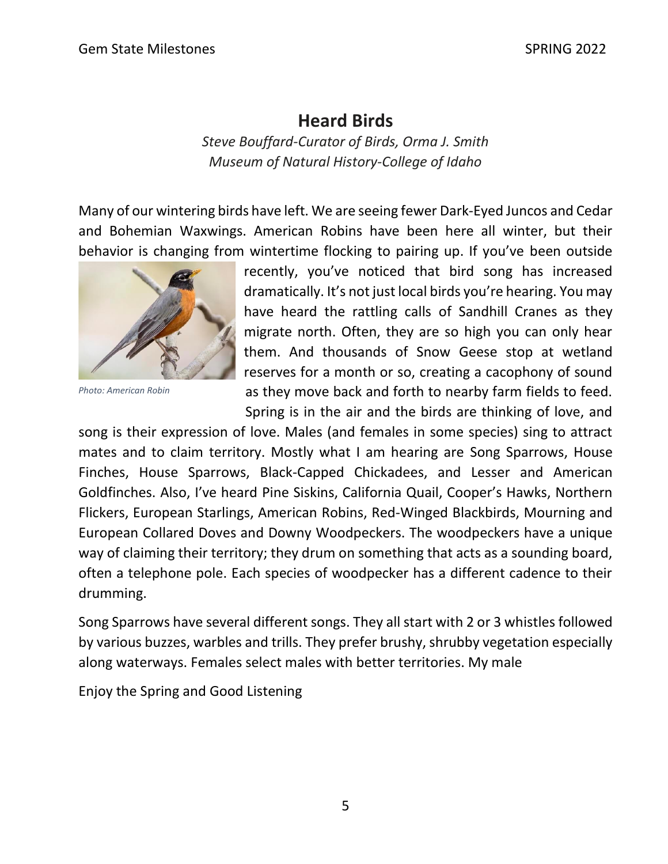## **Heard Birds**

*Steve Bouffard-Curator of Birds, Orma J. Smith Museum of Natural History-College of Idaho*

Many of our wintering birds have left. We are seeing fewer Dark-Eyed Juncos and Cedar and Bohemian Waxwings. American Robins have been here all winter, but their behavior is changing from wintertime flocking to pairing up. If you've been outside



*Photo: American Robin*

recently, you've noticed that bird song has increased dramatically. It's not just local birds you're hearing. You may have heard the rattling calls of Sandhill Cranes as they migrate north. Often, they are so high you can only hear them. And thousands of Snow Geese stop at wetland reserves for a month or so, creating a cacophony of sound as they move back and forth to nearby farm fields to feed. Spring is in the air and the birds are thinking of love, and

song is their expression of love. Males (and females in some species) sing to attract mates and to claim territory. Mostly what I am hearing are Song Sparrows, House Finches, House Sparrows, Black-Capped Chickadees, and Lesser and American Goldfinches. Also, I've heard Pine Siskins, California Quail, Cooper's Hawks, Northern Flickers, European Starlings, American Robins, Red-Winged Blackbirds, Mourning and European Collared Doves and Downy Woodpeckers. The woodpeckers have a unique way of claiming their territory; they drum on something that acts as a sounding board, often a telephone pole. Each species of woodpecker has a different cadence to their drumming.

Song Sparrows have several different songs. They all start with 2 or 3 whistles followed by various buzzes, warbles and trills. They prefer brushy, shrubby vegetation especially along waterways. Females select males with better territories. My male

Enjoy the Spring and Good Listening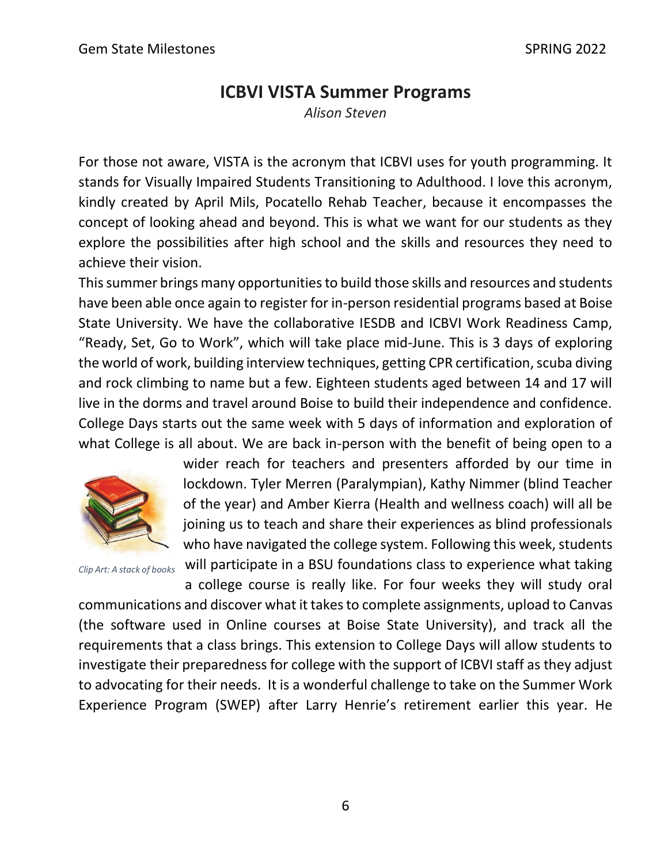## **ICBVI VISTA Summer Programs**

*Alison Steven*

For those not aware, VISTA is the acronym that ICBVI uses for youth programming. It stands for Visually Impaired Students Transitioning to Adulthood. I love this acronym, kindly created by April Mils, Pocatello Rehab Teacher, because it encompasses the concept of looking ahead and beyond. This is what we want for our students as they explore the possibilities after high school and the skills and resources they need to achieve their vision.

This summer brings many opportunities to build those skills and resources and students have been able once again to register for in-person residential programs based at Boise State University. We have the collaborative IESDB and ICBVI Work Readiness Camp, "Ready, Set, Go to Work", which will take place mid-June. This is 3 days of exploring the world of work, building interview techniques, getting CPR certification, scuba diving and rock climbing to name but a few. Eighteen students aged between 14 and 17 will live in the dorms and travel around Boise to build their independence and confidence. College Days starts out the same week with 5 days of information and exploration of what College is all about. We are back in-person with the benefit of being open to a



wider reach for teachers and presenters afforded by our time in lockdown. Tyler Merren (Paralympian), Kathy Nimmer (blind Teacher of the year) and Amber Kierra (Health and wellness coach) will all be joining us to teach and share their experiences as blind professionals who have navigated the college system. Following this week, students will participate in a BSU foundations class to experience what taking

*Clip Art: A stack of books*

a college course is really like. For four weeks they will study oral communications and discover what it takes to complete assignments, upload to Canvas (the software used in Online courses at Boise State University), and track all the requirements that a class brings. This extension to College Days will allow students to investigate their preparedness for college with the support of ICBVI staff as they adjust to advocating for their needs. It is a wonderful challenge to take on the Summer Work Experience Program (SWEP) after Larry Henrie's retirement earlier this year. He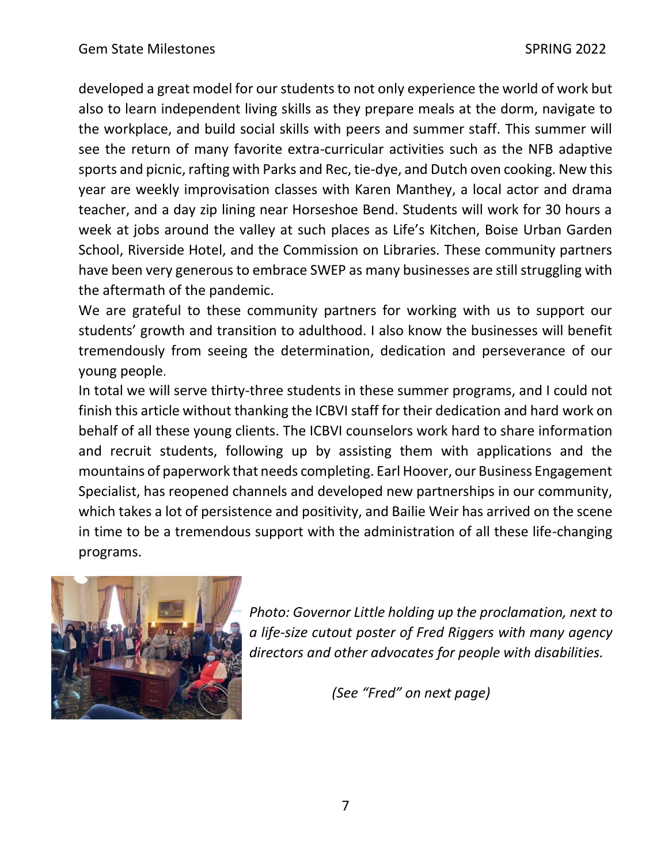developed a great model for our students to not only experience the world of work but also to learn independent living skills as they prepare meals at the dorm, navigate to the workplace, and build social skills with peers and summer staff. This summer will see the return of many favorite extra-curricular activities such as the NFB adaptive sports and picnic, rafting with Parks and Rec, tie-dye, and Dutch oven cooking. New this year are weekly improvisation classes with Karen Manthey, a local actor and drama teacher, and a day zip lining near Horseshoe Bend. Students will work for 30 hours a week at jobs around the valley at such places as Life's Kitchen, Boise Urban Garden School, Riverside Hotel, and the Commission on Libraries. These community partners have been very generous to embrace SWEP as many businesses are still struggling with the aftermath of the pandemic.

We are grateful to these community partners for working with us to support our students' growth and transition to adulthood. I also know the businesses will benefit tremendously from seeing the determination, dedication and perseverance of our young people.

In total we will serve thirty-three students in these summer programs, and I could not finish this article without thanking the ICBVI staff for their dedication and hard work on behalf of all these young clients. The ICBVI counselors work hard to share information and recruit students, following up by assisting them with applications and the mountains of paperwork that needs completing. Earl Hoover, our Business Engagement Specialist, has reopened channels and developed new partnerships in our community, which takes a lot of persistence and positivity, and Bailie Weir has arrived on the scene in time to be a tremendous support with the administration of all these life-changing programs.



*Photo: Governor Little holding up the proclamation, next to a life-size cutout poster of Fred Riggers with many agency directors and other advocates for people with disabilities.*

 *(See "Fred" on next page)*